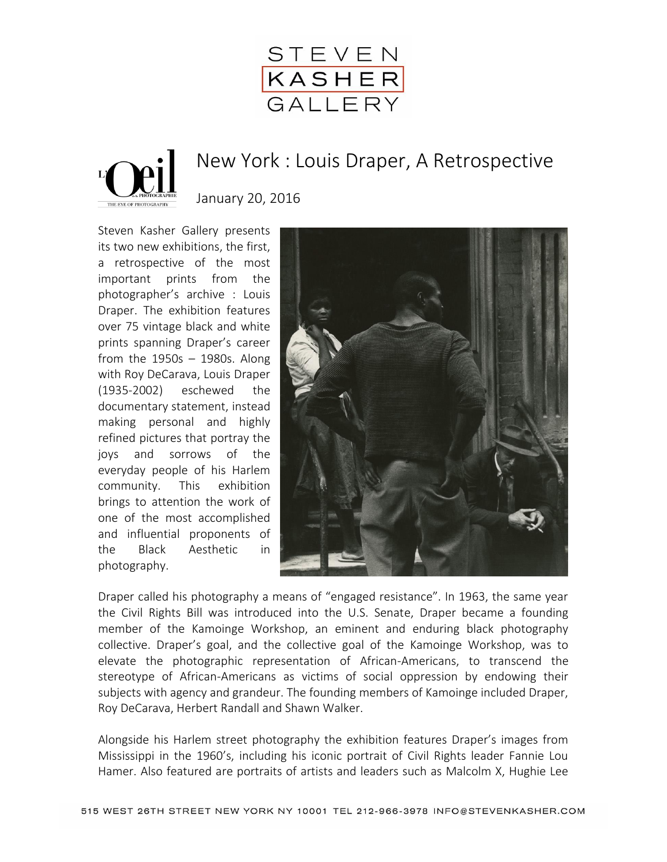



## New York : Louis Draper, A Retrospective

January 20, 2016

Steven Kasher Gallery presents its two new exhibitions, the first, a retrospective of the most important prints from the photographer's archive : Louis Draper. The exhibition features over 75 vintage black and white prints spanning Draper's career from the  $1950s - 1980s$ . Along with Roy DeCarava, Louis Draper (1935-2002) eschewed the documentary statement, instead making personal and highly refined pictures that portray the joys and sorrows of the everyday people of his Harlem community. This exhibition brings to attention the work of one of the most accomplished and influential proponents of the Black Aesthetic in photography.



Draper called his photography a means of "engaged resistance". In 1963, the same year the Civil Rights Bill was introduced into the U.S. Senate, Draper became a founding member of the Kamoinge Workshop, an eminent and enduring black photography collective. Draper's goal, and the collective goal of the Kamoinge Workshop, was to elevate the photographic representation of African-Americans, to transcend the stereotype of African-Americans as victims of social oppression by endowing their subjects with agency and grandeur. The founding members of Kamoinge included Draper, Roy DeCarava, Herbert Randall and Shawn Walker.

Alongside his Harlem street photography the exhibition features Draper's images from Mississippi in the 1960's, including his iconic portrait of Civil Rights leader Fannie Lou Hamer. Also featured are portraits of artists and leaders such as Malcolm X, Hughie Lee